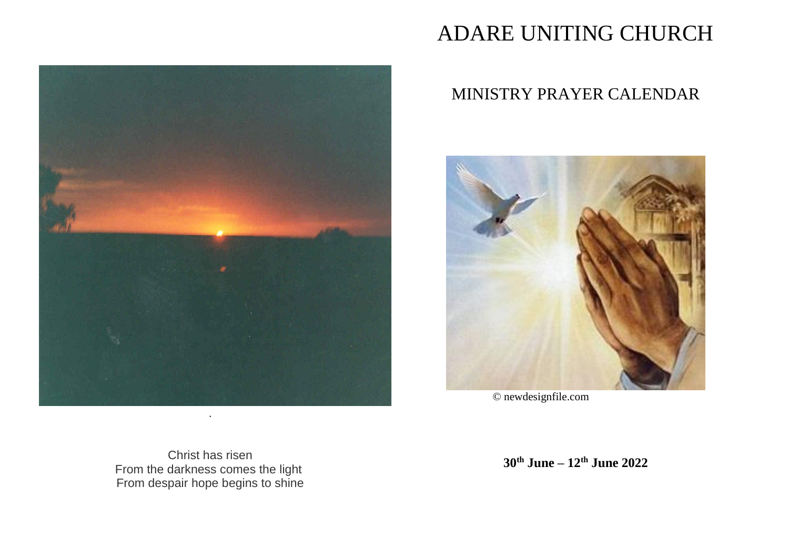

# ADARE UNITING CHURCH

## MINISTRY PRAYER CALENDAR



© newdesignfile.com

Christ has risen From the darkness comes the light From despair hope begins to shine

**30th June – 12th June 2022**